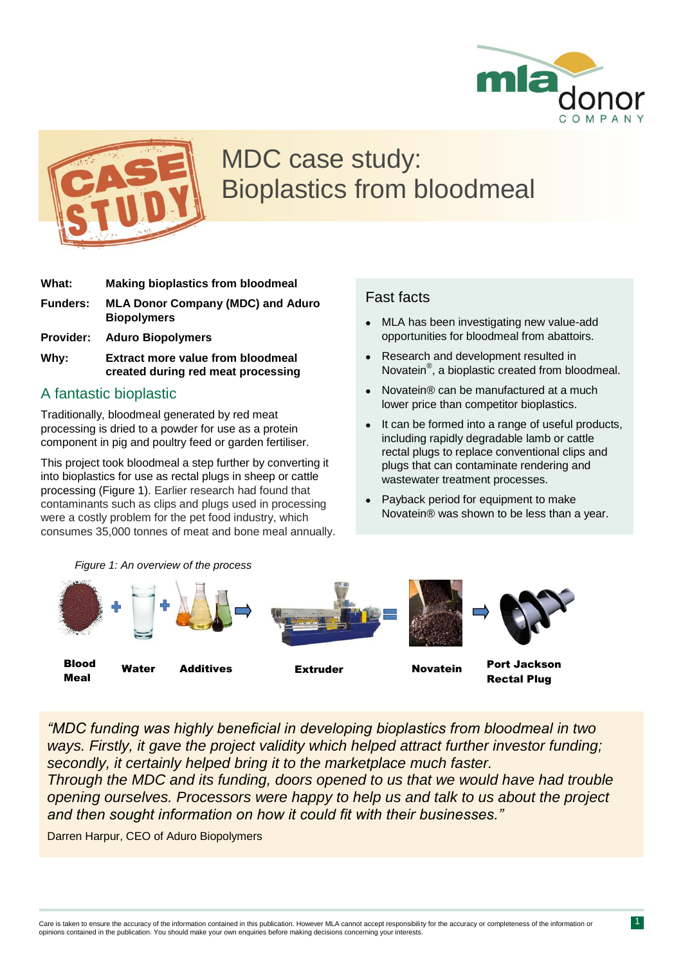



# MDC case study: Bioplastics from bloodmeal

- **What: Making bioplastics from bloodmeal Funders: MLA Donor Company (MDC) and Aduro Biopolymers Provider: Aduro Biopolymers**
- **Why: Extract more value from bloodmeal created during red meat processing**

### A fantastic bioplastic

Traditionally, bloodmeal generated by red meat processing is dried to a powder for use as a protein component in pig and poultry feed or garden fertiliser.

This project took bloodmeal a step further by converting it into bioplastics for use as rectal plugs in sheep or cattle processing (Figure 1). Earlier research had found that contaminants such as clips and plugs used in processing were a costly problem for the pet food industry, which consumes 35,000 tonnes of meat and bone meal annually.

### Fast facts

- MLA has been investigating new value-add opportunities for bloodmeal from abattoirs.
- Research and development resulted in Novatein® , a bioplastic created from bloodmeal.
- Novatein® can be manufactured at a much lower price than competitor bioplastics.
- It can be formed into a range of useful products, including rapidly degradable lamb or cattle rectal plugs to replace conventional clips and plugs that can contaminate rendering and wastewater treatment processes.
- Payback period for equipment to make Novatein® was shown to be less than a year.



*"MDC funding was highly beneficial in developing bioplastics from bloodmeal in two ways. Firstly, it gave the project validity which helped attract further investor funding; secondly, it certainly helped bring it to the marketplace much faster.*

*Through the MDC and its funding, doors opened to us that we would have had trouble opening ourselves. Processors were happy to help us and talk to us about the project and then sought information on how it could fit with their businesses."*

Darren Harpur, CEO of Aduro Biopolymers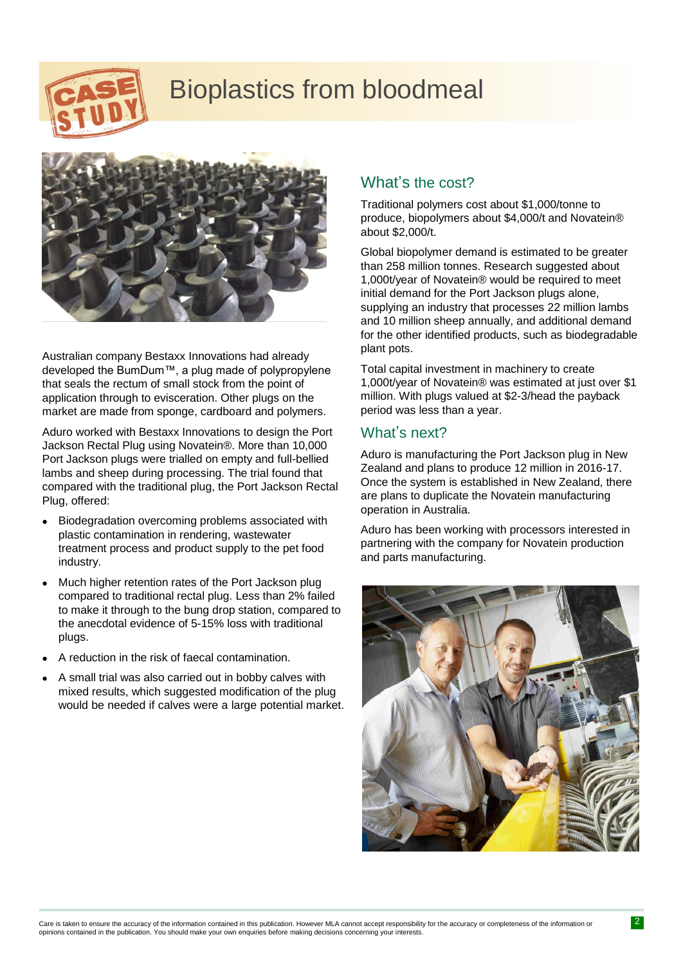

# Bioplastics from bloodmeal



Australian company Bestaxx Innovations had already developed the BumDum™, a plug made of polypropylene that seals the rectum of small stock from the point of application through to evisceration. Other plugs on the market are made from sponge, cardboard and polymers.

Aduro worked with Bestaxx Innovations to design the Port Jackson Rectal Plug using Novatein®. More than 10,000 Port Jackson plugs were trialled on empty and full-bellied lambs and sheep during processing. The trial found that compared with the traditional plug, the Port Jackson Rectal Plug, offered:

- Biodegradation overcoming problems associated with plastic contamination in rendering, wastewater treatment process and product supply to the pet food industry.
- Much higher retention rates of the Port Jackson plug compared to traditional rectal plug. Less than 2% failed to make it through to the bung drop station, compared to the anecdotal evidence of 5-15% loss with traditional plugs.
- A reduction in the risk of faecal contamination.
- A small trial was also carried out in bobby calves with mixed results, which suggested modification of the plug would be needed if calves were a large potential market.

# What's the cost?

Traditional polymers cost about \$1,000/tonne to produce, biopolymers about \$4,000/t and Novatein® about \$2,000/t.

Global biopolymer demand is estimated to be greater than 258 million tonnes. Research suggested about 1,000t/year of Novatein® would be required to meet initial demand for the Port Jackson plugs alone, supplying an industry that processes 22 million lambs and 10 million sheep annually, and additional demand for the other identified products, such as biodegradable plant pots.

Total capital investment in machinery to create 1,000t/year of Novatein® was estimated at just over \$1 million. With plugs valued at \$2-3/head the payback period was less than a year.

#### What's next?

Aduro is manufacturing the Port Jackson plug in New Zealand and plans to produce 12 million in 2016-17. Once the system is established in New Zealand, there are plans to duplicate the Novatein manufacturing operation in Australia.

Aduro has been working with processors interested in partnering with the company for Novatein production and parts manufacturing.